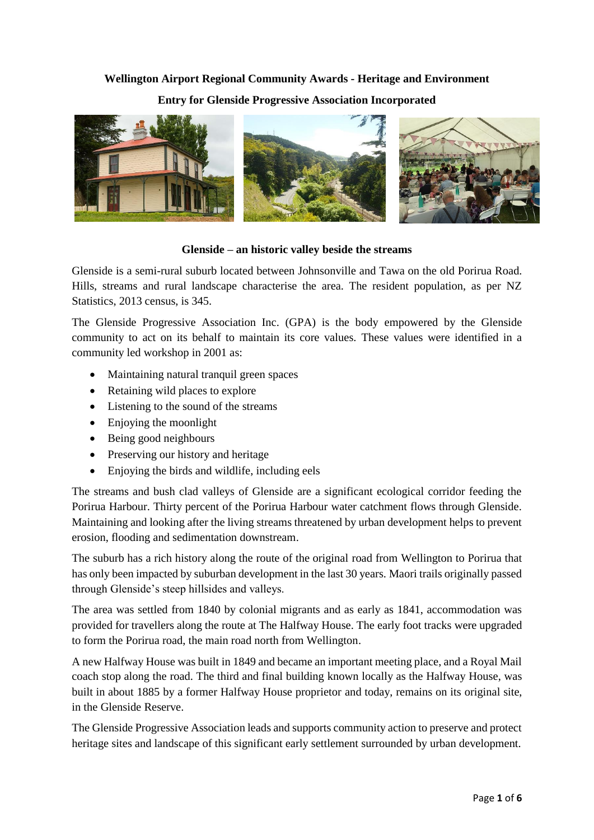#### **Wellington Airport Regional Community Awards - Heritage and Environment**

### **Entry for Glenside Progressive Association Incorporated**



#### **Glenside – an historic valley beside the streams**

Glenside is a semi-rural suburb located between Johnsonville and Tawa on the old Porirua Road. Hills, streams and rural landscape characterise the area. The resident population, as per NZ Statistics, 2013 census, is 345.

The Glenside Progressive Association Inc. (GPA) is the body empowered by the Glenside community to act on its behalf to maintain its core values. These values were identified in a community led workshop in 2001 as:

- Maintaining natural tranquil green spaces
- Retaining wild places to explore
- Listening to the sound of the streams
- Enjoying the moonlight
- Being good neighbours
- Preserving our history and heritage
- Enjoying the birds and wildlife, including eels

The streams and bush clad valleys of Glenside are a significant ecological corridor feeding the Porirua Harbour. Thirty percent of the Porirua Harbour water catchment flows through Glenside. Maintaining and looking after the living streams threatened by urban development helps to prevent erosion, flooding and sedimentation downstream.

The suburb has a rich history along the route of the original road from Wellington to Porirua that has only been impacted by suburban development in the last 30 years. Maori trails originally passed through Glenside's steep hillsides and valleys.

The area was settled from 1840 by colonial migrants and as early as 1841, accommodation was provided for travellers along the route at The Halfway House. The early foot tracks were upgraded to form the Porirua road, the main road north from Wellington.

A new Halfway House was built in 1849 and became an important meeting place, and a Royal Mail coach stop along the road. The third and final building known locally as the Halfway House, was built in about 1885 by a former Halfway House proprietor and today, remains on its original site, in the Glenside Reserve.

The Glenside Progressive Association leads and supports community action to preserve and protect heritage sites and landscape of this significant early settlement surrounded by urban development.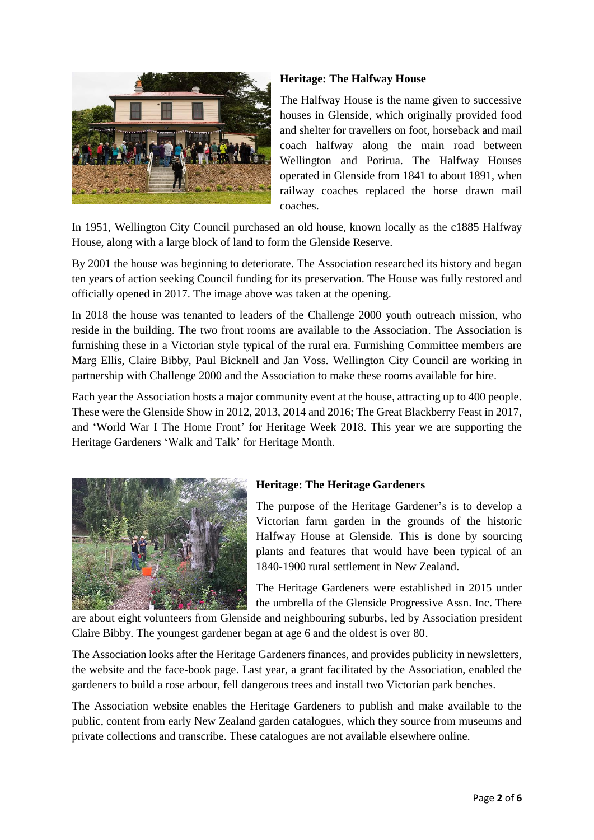

# **Heritage: The Halfway House**

The Halfway House is the name given to successive houses in Glenside, which originally provided food and shelter for travellers on foot, horseback and mail coach halfway along the main road between Wellington and Porirua. The Halfway Houses operated in Glenside from 1841 to about 1891, when railway coaches replaced the horse drawn mail coaches.

In 1951, Wellington City Council purchased an old house, known locally as the c1885 Halfway House, along with a large block of land to form the Glenside Reserve.

By 2001 the house was beginning to deteriorate. The Association researched its history and began ten years of action seeking Council funding for its preservation. The House was fully restored and officially opened in 2017. The image above was taken at the opening.

In 2018 the house was tenanted to leaders of the Challenge 2000 youth outreach mission, who reside in the building. The two front rooms are available to the Association. The Association is furnishing these in a Victorian style typical of the rural era. Furnishing Committee members are Marg Ellis, Claire Bibby, Paul Bicknell and Jan Voss. Wellington City Council are working in partnership with Challenge 2000 and the Association to make these rooms available for hire.

Each year the Association hosts a major community event at the house, attracting up to 400 people. These were the Glenside Show in 2012, 2013, 2014 and 2016; The Great Blackberry Feast in 2017, and 'World War I The Home Front' for Heritage Week 2018. This year we are supporting the Heritage Gardeners 'Walk and Talk' for Heritage Month.



# **Heritage: The Heritage Gardeners**

The purpose of the Heritage Gardener's is to develop a Victorian farm garden in the grounds of the historic Halfway House at Glenside. This is done by sourcing plants and features that would have been typical of an 1840-1900 rural settlement in New Zealand.

The Heritage Gardeners were established in 2015 under the umbrella of the Glenside Progressive Assn. Inc. There

are about eight volunteers from Glenside and neighbouring suburbs, led by Association president Claire Bibby. The youngest gardener began at age 6 and the oldest is over 80.

The Association looks after the Heritage Gardeners finances, and provides publicity in newsletters, the website and the face-book page. Last year, a grant facilitated by the Association, enabled the gardeners to build a rose arbour, fell dangerous trees and install two Victorian park benches.

The Association website enables the Heritage Gardeners to publish and make available to the public, content from early New Zealand garden catalogues, which they source from museums and private collections and transcribe. These catalogues are not available elsewhere online.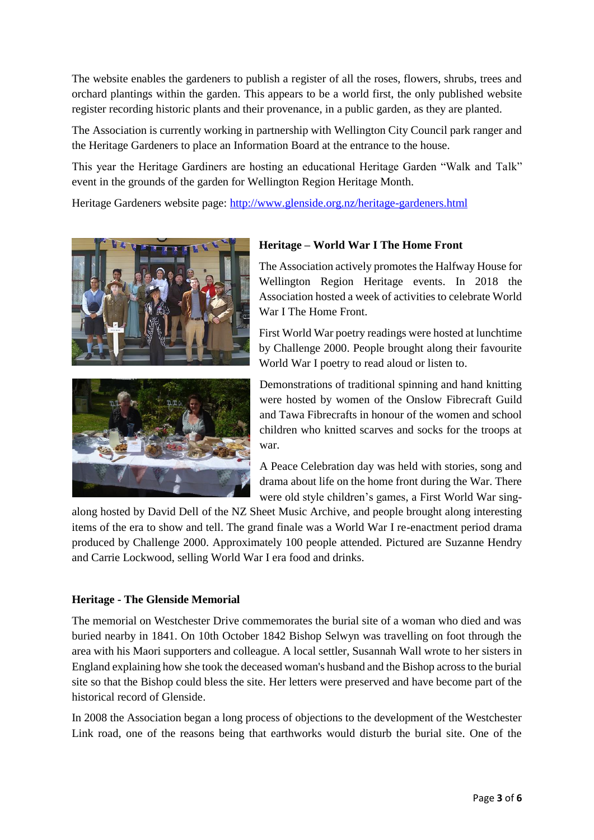The website enables the gardeners to publish a register of all the roses, flowers, shrubs, trees and orchard plantings within the garden. This appears to be a world first, the only published website register recording historic plants and their provenance, in a public garden, as they are planted.

The Association is currently working in partnership with Wellington City Council park ranger and the Heritage Gardeners to place an Information Board at the entrance to the house.

This year the Heritage Gardiners are hosting an educational Heritage Garden "Walk and Talk" event in the grounds of the garden for Wellington Region Heritage Month.

Heritage Gardeners website page:<http://www.glenside.org.nz/heritage-gardeners.html>





# **Heritage – World War I The Home Front**

The Association actively promotes the Halfway House for Wellington Region Heritage events. In 2018 the Association hosted a week of activities to celebrate World War I The Home Front.

First World War poetry readings were hosted at lunchtime by Challenge 2000. People brought along their favourite World War I poetry to read aloud or listen to.

Demonstrations of traditional spinning and hand knitting were hosted by women of the Onslow Fibrecraft Guild and Tawa Fibrecrafts in honour of the women and school children who knitted scarves and socks for the troops at war.

A Peace Celebration day was held with stories, song and drama about life on the home front during the War. There were old style children's games, a First World War sing-

along hosted by David Dell of the NZ Sheet Music Archive, and people brought along interesting items of the era to show and tell. The grand finale was a World War I re-enactment period drama produced by Challenge 2000. Approximately 100 people attended. Pictured are Suzanne Hendry and Carrie Lockwood, selling World War I era food and drinks.

# **Heritage - The Glenside Memorial**

The memorial on Westchester Drive commemorates the burial site of a woman who died and was buried nearby in 1841. On 10th October 1842 Bishop Selwyn was travelling on foot through the area with his Maori supporters and colleague. A local settler, Susannah Wall wrote to her sisters in England explaining how she took the deceased woman's husband and the Bishop across to the burial site so that the Bishop could bless the site. Her letters were preserved and have become part of the historical record of Glenside.

In 2008 the Association began a long process of objections to the development of the Westchester Link road, one of the reasons being that earthworks would disturb the burial site. One of the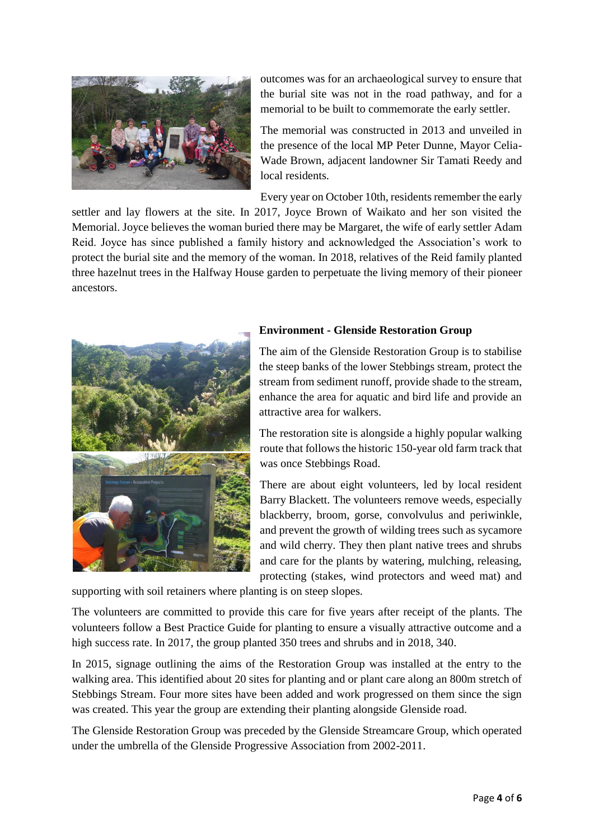

outcomes was for an archaeological survey to ensure that the burial site was not in the road pathway, and for a memorial to be built to commemorate the early settler.

The memorial was constructed in 2013 and unveiled in the presence of the local MP Peter Dunne, Mayor Celia-Wade Brown, adjacent landowner Sir Tamati Reedy and local residents.

Every year on October 10th, residents remember the early

settler and lay flowers at the site. In 2017, Joyce Brown of Waikato and her son visited the Memorial. Joyce believes the woman buried there may be Margaret, the wife of early settler Adam Reid. Joyce has since published a family history and acknowledged the Association's work to protect the burial site and the memory of the woman. In 2018, relatives of the Reid family planted three hazelnut trees in the Halfway House garden to perpetuate the living memory of their pioneer ancestors.



# **Environment - Glenside Restoration Group**

The aim of the Glenside Restoration Group is to stabilise the steep banks of the lower Stebbings stream, protect the stream from sediment runoff, provide shade to the stream, enhance the area for aquatic and bird life and provide an attractive area for walkers.

The restoration site is alongside a highly popular walking route that follows the historic 150-year old farm track that was once Stebbings Road.

There are about eight volunteers, led by local resident Barry Blackett. The volunteers remove weeds, especially blackberry, broom, gorse, convolvulus and periwinkle, and prevent the growth of wilding trees such as sycamore and wild cherry. They then plant native trees and shrubs and care for the plants by watering, mulching, releasing, protecting (stakes, wind protectors and weed mat) and

supporting with soil retainers where planting is on steep slopes.

The volunteers are committed to provide this care for five years after receipt of the plants. The volunteers follow a Best Practice Guide for planting to ensure a visually attractive outcome and a high success rate. In 2017, the group planted 350 trees and shrubs and in 2018, 340.

In 2015, signage outlining the aims of the Restoration Group was installed at the entry to the walking area. This identified about 20 sites for planting and or plant care along an 800m stretch of Stebbings Stream. Four more sites have been added and work progressed on them since the sign was created. This year the group are extending their planting alongside Glenside road.

The Glenside Restoration Group was preceded by the Glenside Streamcare Group, which operated under the umbrella of the Glenside Progressive Association from 2002-2011.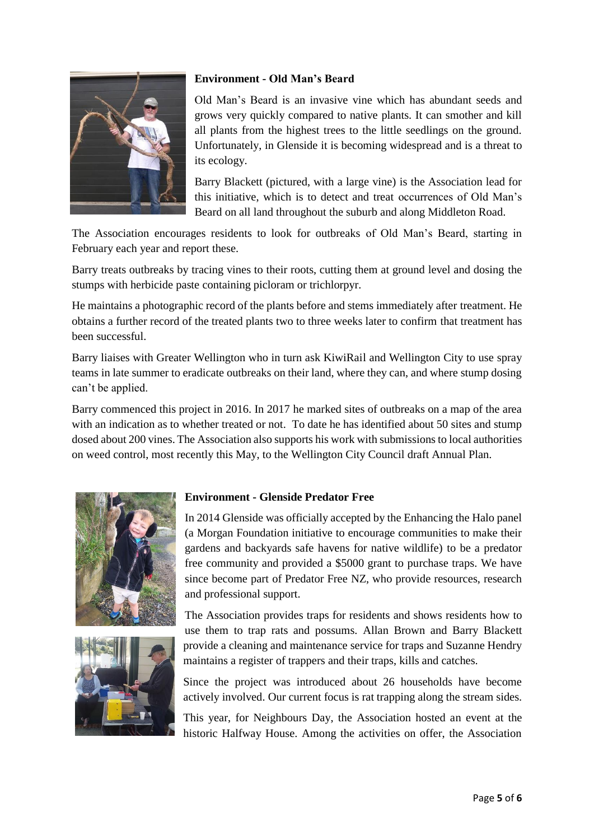

# **Environment - Old Man's Beard**

Old Man's Beard is an invasive vine which has abundant seeds and grows very quickly compared to native plants. It can smother and kill all plants from the highest trees to the little seedlings on the ground. Unfortunately, in Glenside it is becoming widespread and is a threat to its ecology.

Barry Blackett (pictured, with a large vine) is the Association lead for this initiative, which is to detect and treat occurrences of Old Man's Beard on all land throughout the suburb and along Middleton Road.

The Association encourages residents to look for outbreaks of Old Man's Beard, starting in February each year and report these.

Barry treats outbreaks by tracing vines to their roots, cutting them at ground level and dosing the stumps with herbicide paste containing picloram or trichlorpyr.

He maintains a photographic record of the plants before and stems immediately after treatment. He obtains a further record of the treated plants two to three weeks later to confirm that treatment has been successful.

Barry liaises with Greater Wellington who in turn ask KiwiRail and Wellington City to use spray teams in late summer to eradicate outbreaks on their land, where they can, and where stump dosing can't be applied.

Barry commenced this project in 2016. In 2017 he marked sites of outbreaks on a map of the area with an indication as to whether treated or not. To date he has identified about 50 sites and stump dosed about 200 vines. The Association also supports his work with submissions to local authorities on weed control, most recently this May, to the Wellington City Council draft Annual Plan.





## **Environment - Glenside Predator Free**

In 2014 Glenside was officially accepted by the Enhancing the Halo panel (a Morgan Foundation initiative to encourage communities to make their gardens and backyards safe havens for native wildlife) to be a predator free community and provided a \$5000 grant to purchase traps. We have since become part of Predator Free NZ, who provide resources, research and professional support.

The Association provides traps for residents and shows residents how to use them to trap rats and possums. Allan Brown and Barry Blackett provide a cleaning and maintenance service for traps and Suzanne Hendry maintains a register of trappers and their traps, kills and catches.

Since the project was introduced about 26 households have become actively involved. Our current focus is rat trapping along the stream sides.

This year, for Neighbours Day, the Association hosted an event at the historic Halfway House. Among the activities on offer, the Association